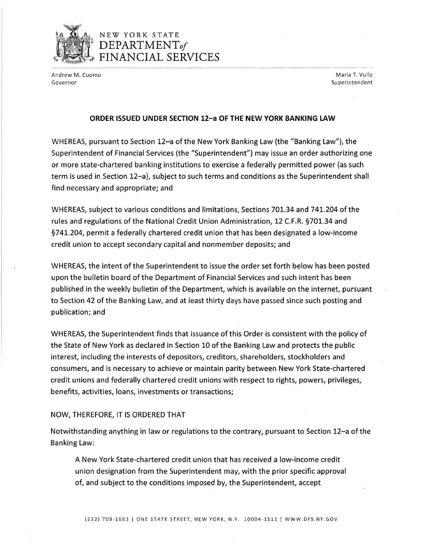

## NEW YORK STATE D*EPARTMENTof*  FINANCIAL SERVICES

Andrew M. Cuomo Maria T. Vullo (1999) and the control of the control of the control of the control of the control of the control of the control of the control of the control of the control of the control of the control of Governor and Superintendent in the Superintendent of Superintendent in the Superintendent of Superintendent in the Superintendent of Superintendent in the Superintendent of Superintendent in the Superintendent of Superinte

## **ORDER ISSUED UNDER SECTION 12-a OF THE NEW YORK BANKING LAW**

WHEREAS, pursuant to Section 12-a of the New York Banking Law (the "Banking Law"), the Superintendent of Financial Services (the "Superintendent") may issue an order authorizing one or more state-chartered banking institutions to exercise a federally permitted power (as such term is used in Section 12-a), subject to such terms and conditions as the Superintendent shall find necessary and appropriate; and

WHEREAS, subject to various conditions and limitations, Sections 701.34 and 741.204 of the rules and regulations of the National Credit Union Administration, 12 C.F.R. §701.34 and §741.204, permit a federally chartered credit union that has been designated a low-income credit union to accept secondary capital and nonmember deposits; and

WHEREAS, the intent of the Superintendent to issue the order set forth below has been posted upon the bulletin board of the Department of Financial Services and such intent has been published in the weekly bulletin of the Department, which is available on the internet, pursuant to Section 42 of the Banking Law, and at least thirty days have passed since such posting and publication; and

WHEREAS, the Superintendent finds that issuance of this Order is consistent with the policy of the State of New York as declared in Section 10 of the Banking Law and protects the public interest, including the interests of depositors, creditors, shareholders, stockholders and consumers, and is necessary to achieve or maintain parity between New York State-chartered credit unions and federally chartered credit unions with respect to rights, powers, privileges, benefits, activities, loans, investments or transactions;

## NOW, THEREFORE, IT IS ORDERED THAT

Notwithstanding anything in law or regulations to the contrary, pursuant to Section 12-a of the Banking Law:

A New York State-chartered credit union that has received a low-income credit union designation from the Superintendent may, with the prior specific approval of, and subject to the conditions imposed by, the Superintendent, accept